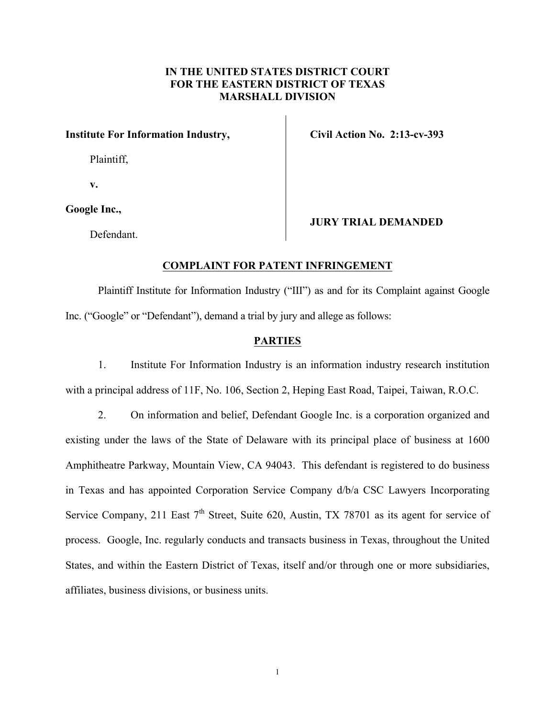## **IN THE UNITED STATES DISTRICT COURT FOR THE EASTERN DISTRICT OF TEXAS MARSHALL DIVISION**

## **Institute For Information Industry,**

Plaintiff,

**v.**

## **Google Inc.,**

Defendant.

## **Civil Action No. 2:13-cv-393**

**JURY TRIAL DEMANDED**

### **COMPLAINT FOR PATENT INFRINGEMENT**

Plaintiff Institute for Information Industry ("III") as and for its Complaint against Google Inc. ("Google" or "Defendant"), demand a trial by jury and allege as follows:

### **PARTIES**

1. Institute For Information Industry is an information industry research institution with a principal address of 11F, No. 106, Section 2, Heping East Road, Taipei, Taiwan, R.O.C.

2. On information and belief, Defendant Google Inc. is a corporation organized and existing under the laws of the State of Delaware with its principal place of business at 1600 Amphitheatre Parkway, Mountain View, CA 94043. This defendant is registered to do business in Texas and has appointed Corporation Service Company d/b/a CSC Lawyers Incorporating Service Company, 211 East  $7<sup>th</sup>$  Street, Suite 620, Austin, TX 78701 as its agent for service of process. Google, Inc. regularly conducts and transacts business in Texas, throughout the United States, and within the Eastern District of Texas, itself and/or through one or more subsidiaries, affiliates, business divisions, or business units.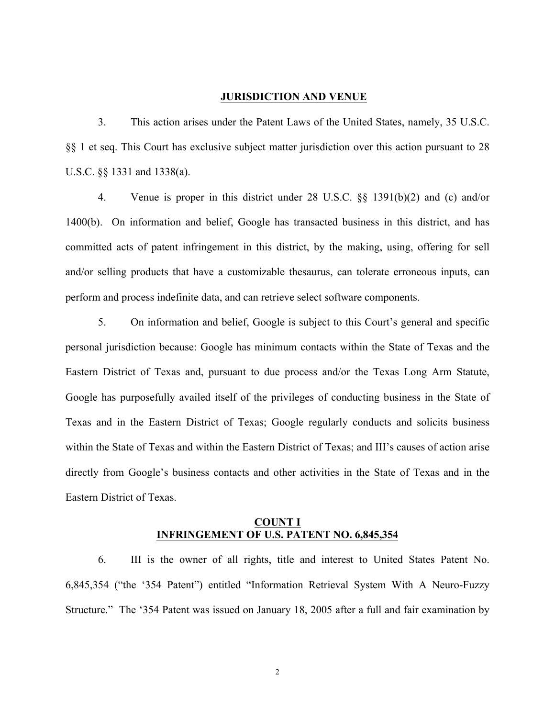#### **JURISDICTION AND VENUE**

3. This action arises under the Patent Laws of the United States, namely, 35 U.S.C. §§ 1 et seq. This Court has exclusive subject matter jurisdiction over this action pursuant to 28 U.S.C. §§ 1331 and 1338(a).

4. Venue is proper in this district under 28 U.S.C. §§ 1391(b)(2) and (c) and/or 1400(b). On information and belief, Google has transacted business in this district, and has committed acts of patent infringement in this district, by the making, using, offering for sell and/or selling products that have a customizable thesaurus, can tolerate erroneous inputs, can perform and process indefinite data, and can retrieve select software components.

5. On information and belief, Google is subject to this Court's general and specific personal jurisdiction because: Google has minimum contacts within the State of Texas and the Eastern District of Texas and, pursuant to due process and/or the Texas Long Arm Statute, Google has purposefully availed itself of the privileges of conducting business in the State of Texas and in the Eastern District of Texas; Google regularly conducts and solicits business within the State of Texas and within the Eastern District of Texas; and III's causes of action arise directly from Google's business contacts and other activities in the State of Texas and in the Eastern District of Texas.

## **COUNT I INFRINGEMENT OF U.S. PATENT NO. 6,845,354**

6. III is the owner of all rights, title and interest to United States Patent No. 6,845,354 ("the '354 Patent") entitled "Information Retrieval System With A Neuro-Fuzzy Structure." The '354 Patent was issued on January 18, 2005 after a full and fair examination by

2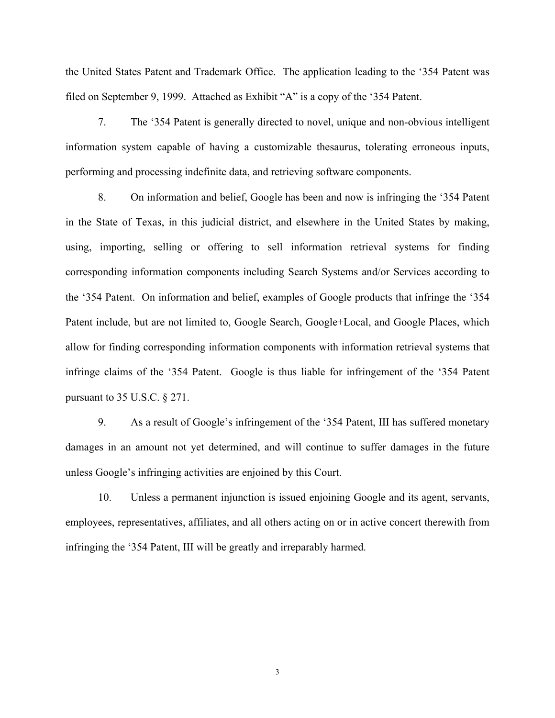the United States Patent and Trademark Office. The application leading to the '354 Patent was filed on September 9, 1999. Attached as Exhibit "A" is a copy of the '354 Patent.

7. The '354 Patent is generally directed to novel, unique and non-obvious intelligent information system capable of having a customizable thesaurus, tolerating erroneous inputs, performing and processing indefinite data, and retrieving software components.

8. On information and belief, Google has been and now is infringing the '354 Patent in the State of Texas, in this judicial district, and elsewhere in the United States by making, using, importing, selling or offering to sell information retrieval systems for finding corresponding information components including Search Systems and/or Services according to the '354 Patent. On information and belief, examples of Google products that infringe the '354 Patent include, but are not limited to, Google Search, Google+Local, and Google Places, which allow for finding corresponding information components with information retrieval systems that infringe claims of the '354 Patent. Google is thus liable for infringement of the '354 Patent pursuant to 35 U.S.C. § 271.

9. As a result of Google's infringement of the '354 Patent, III has suffered monetary damages in an amount not yet determined, and will continue to suffer damages in the future unless Google's infringing activities are enjoined by this Court.

10. Unless a permanent injunction is issued enjoining Google and its agent, servants, employees, representatives, affiliates, and all others acting on or in active concert therewith from infringing the '354 Patent, III will be greatly and irreparably harmed.

3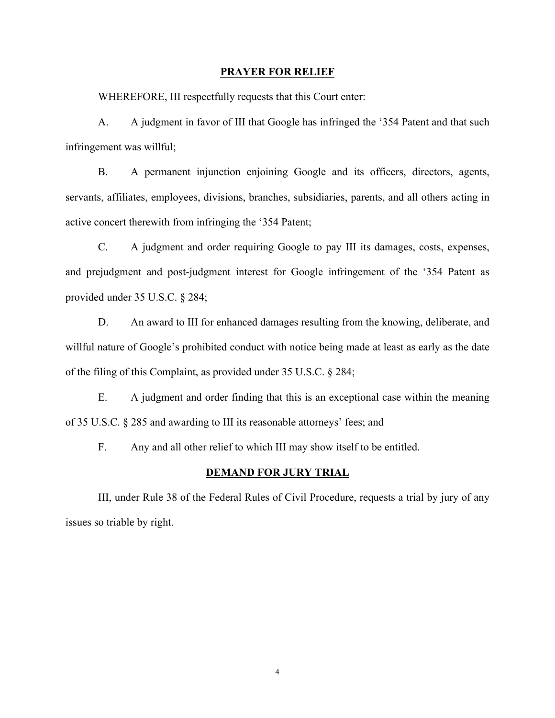#### **PRAYER FOR RELIEF**

WHEREFORE, III respectfully requests that this Court enter:

A. A judgment in favor of III that Google has infringed the '354 Patent and that such infringement was willful;

B. A permanent injunction enjoining Google and its officers, directors, agents, servants, affiliates, employees, divisions, branches, subsidiaries, parents, and all others acting in active concert therewith from infringing the '354 Patent;

C. A judgment and order requiring Google to pay III its damages, costs, expenses, and prejudgment and post-judgment interest for Google infringement of the '354 Patent as provided under 35 U.S.C. § 284;

D. An award to III for enhanced damages resulting from the knowing, deliberate, and willful nature of Google's prohibited conduct with notice being made at least as early as the date of the filing of this Complaint, as provided under 35 U.S.C. § 284;

E. A judgment and order finding that this is an exceptional case within the meaning of 35 U.S.C. § 285 and awarding to III its reasonable attorneys' fees; and

F. Any and all other relief to which III may show itself to be entitled.

#### **DEMAND FOR JURY TRIAL**

III, under Rule 38 of the Federal Rules of Civil Procedure, requests a trial by jury of any issues so triable by right.